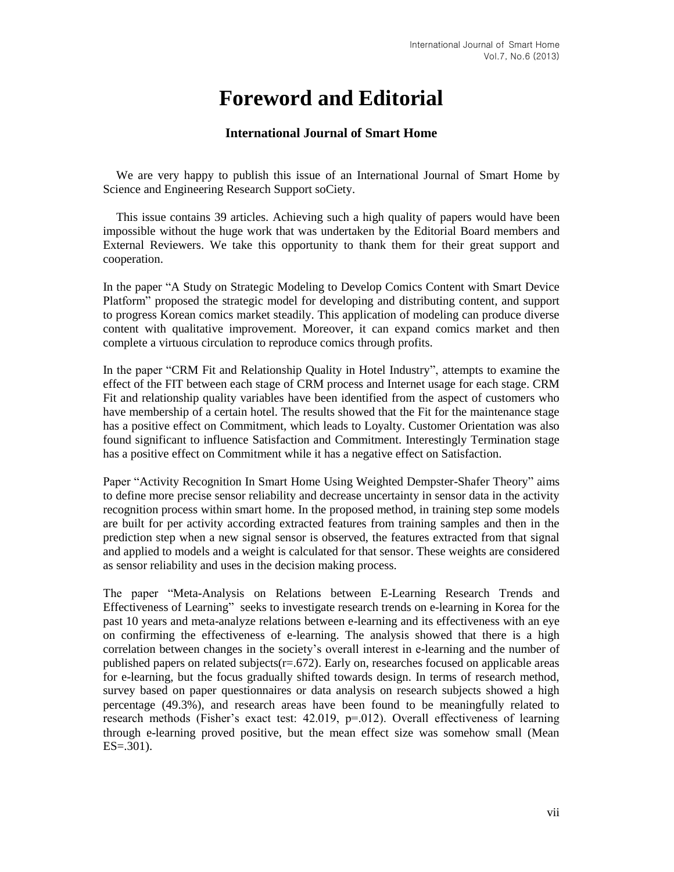## **Foreword and Editorial**

## **International Journal of Smart Home**

We are very happy to publish this issue of an International Journal of Smart Home by Science and Engineering Research Support soCiety.

This issue contains 39 articles. Achieving such a high quality of papers would have been impossible without the huge work that was undertaken by the Editorial Board members and External Reviewers. We take this opportunity to thank them for their great support and cooperation.

In the paper "A Study on Strategic Modeling to Develop Comics Content with Smart Device Platform" proposed the strategic model for developing and distributing content, and support to progress Korean comics market steadily. This application of modeling can produce diverse content with qualitative improvement. Moreover, it can expand comics market and then complete a virtuous circulation to reproduce comics through profits.

In the paper "CRM Fit and Relationship Quality in Hotel Industry", attempts to examine the effect of the FIT between each stage of CRM process and Internet usage for each stage. CRM Fit and relationship quality variables have been identified from the aspect of customers who have membership of a certain hotel. The results showed that the Fit for the maintenance stage has a positive effect on Commitment, which leads to Loyalty. Customer Orientation was also found significant to influence Satisfaction and Commitment. Interestingly Termination stage has a positive effect on Commitment while it has a negative effect on Satisfaction.

Paper "Activity Recognition In Smart Home Using Weighted Dempster-Shafer Theory" aims to define more precise sensor reliability and decrease uncertainty in sensor data in the activity recognition process within smart home. In the proposed method, in training step some models are built for per activity according extracted features from training samples and then in the prediction step when a new signal sensor is observed, the features extracted from that signal and applied to models and a weight is calculated for that sensor. These weights are considered as sensor reliability and uses in the decision making process.

The paper "Meta-Analysis on Relations between E-Learning Research Trends and Effectiveness of Learning" seeks to investigate research trends on e-learning in Korea for the past 10 years and meta-analyze relations between e-learning and its effectiveness with an eye on confirming the effectiveness of e-learning. The analysis showed that there is a high correlation between changes in the society's overall interest in e-learning and the number of published papers on related subjects $(r=.672)$ . Early on, researches focused on applicable areas for e-learning, but the focus gradually shifted towards design. In terms of research method, survey based on paper questionnaires or data analysis on research subjects showed a high percentage (49.3%), and research areas have been found to be meaningfully related to research methods (Fisher's exact test: 42.019, p=.012). Overall effectiveness of learning through e-learning proved positive, but the mean effect size was somehow small (Mean  $ES = .301$ ).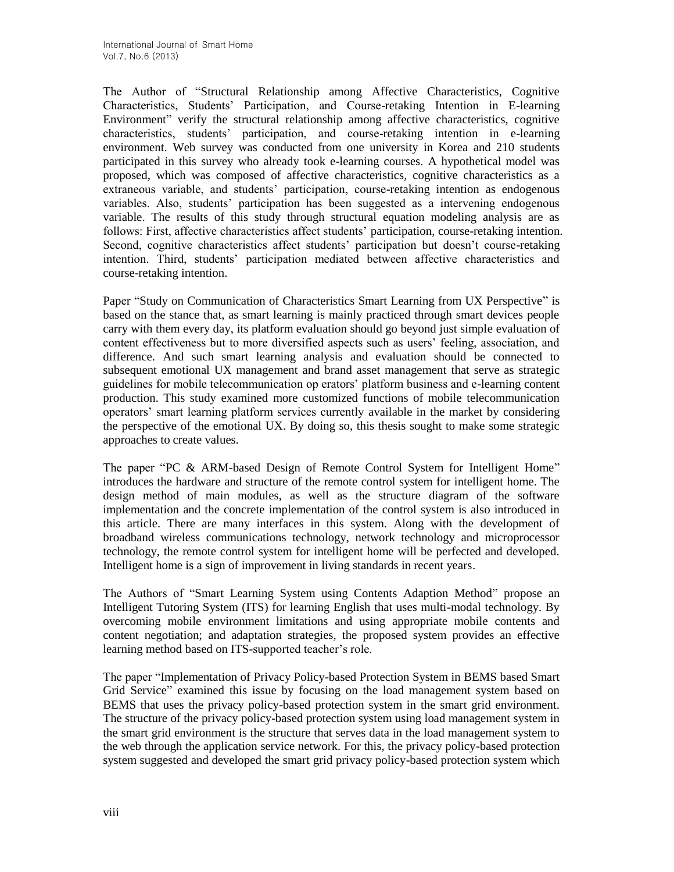The Author of "Structural Relationship among Affective Characteristics, Cognitive Characteristics, Students' Participation, and Course-retaking Intention in E-learning Environment" verify the structural relationship among affective characteristics, cognitive characteristics, students' participation, and course-retaking intention in e-learning environment. Web survey was conducted from one university in Korea and 210 students participated in this survey who already took e-learning courses. A hypothetical model was proposed, which was composed of affective characteristics, cognitive characteristics as a extraneous variable, and students' participation, course-retaking intention as endogenous variables. Also, students' participation has been suggested as a intervening endogenous variable. The results of this study through structural equation modeling analysis are as follows: First, affective characteristics affect students' participation, course-retaking intention. Second, cognitive characteristics affect students' participation but doesn't course-retaking intention. Third, students' participation mediated between affective characteristics and course-retaking intention.

Paper "Study on Communication of Characteristics Smart Learning from UX Perspective" is based on the stance that, as smart learning is mainly practiced through smart devices people carry with them every day, its platform evaluation should go beyond just simple evaluation of content effectiveness but to more diversified aspects such as users' feeling, association, and difference. And such smart learning analysis and evaluation should be connected to subsequent emotional UX management and brand asset management that serve as strategic guidelines for mobile telecommunication op erators' platform business and e-learning content production. This study examined more customized functions of mobile telecommunication operators' smart learning platform services currently available in the market by considering the perspective of the emotional UX. By doing so, this thesis sought to make some strategic approaches to create values.

The paper "PC & ARM-based Design of Remote Control System for Intelligent Home" introduces the hardware and structure of the remote control system for intelligent home. The design method of main modules, as well as the structure diagram of the software implementation and the concrete implementation of the control system is also introduced in this article. There are many interfaces in this system. Along with the development of broadband wireless communications technology, network technology and microprocessor technology, the remote control system for intelligent home will be perfected and developed. Intelligent home is a sign of improvement in living standards in recent years.

The Authors of "Smart Learning System using Contents Adaption Method" propose an Intelligent Tutoring System (ITS) for learning English that uses multi-modal technology. By overcoming mobile environment limitations and using appropriate mobile contents and content negotiation; and adaptation strategies, the proposed system provides an effective learning method based on ITS-supported teacher's role.

The paper "Implementation of Privacy Policy-based Protection System in BEMS based Smart Grid Service" examined this issue by focusing on the load management system based on BEMS that uses the privacy policy-based protection system in the smart grid environment. The structure of the privacy policy-based protection system using load management system in the smart grid environment is the structure that serves data in the load management system to the web through the application service network. For this, the privacy policy-based protection system suggested and developed the smart grid privacy policy-based protection system which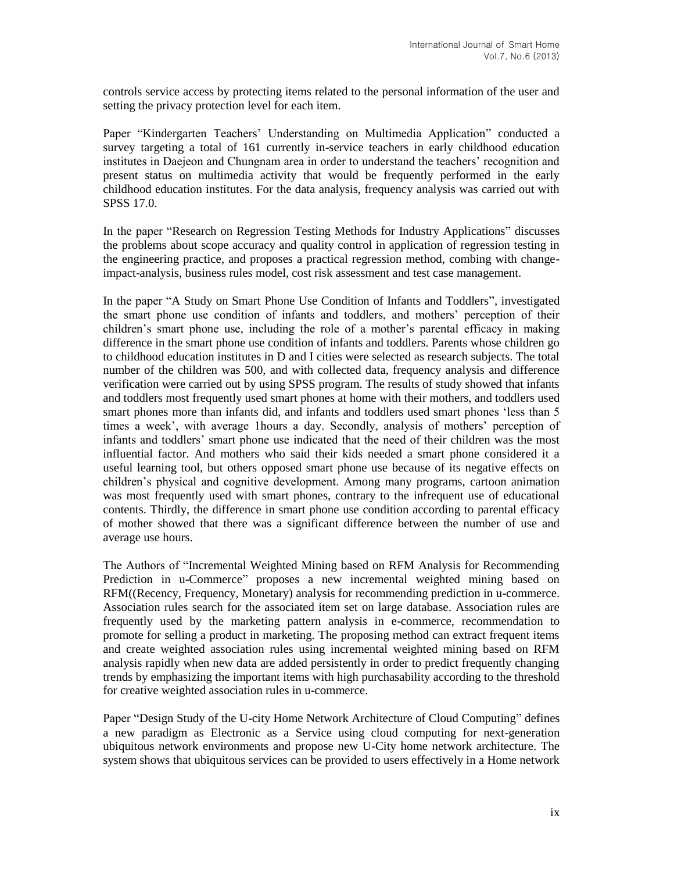controls service access by protecting items related to the personal information of the user and setting the privacy protection level for each item.

Paper "Kindergarten Teachers' Understanding on Multimedia Application" conducted a survey targeting a total of 161 currently in-service teachers in early childhood education institutes in Daejeon and Chungnam area in order to understand the teachers' recognition and present status on multimedia activity that would be frequently performed in the early childhood education institutes. For the data analysis, frequency analysis was carried out with SPSS 17.0.

In the paper "Research on Regression Testing Methods for Industry Applications" discusses the problems about scope accuracy and quality control in application of regression testing in the engineering practice, and proposes a practical regression method, combing with changeimpact-analysis, business rules model, cost risk assessment and test case management.

In the paper "A Study on Smart Phone Use Condition of Infants and Toddlers", investigated the smart phone use condition of infants and toddlers, and mothers' perception of their children's smart phone use, including the role of a mother's parental efficacy in making difference in the smart phone use condition of infants and toddlers. Parents whose children go to childhood education institutes in D and I cities were selected as research subjects. The total number of the children was 500, and with collected data, frequency analysis and difference verification were carried out by using SPSS program. The results of study showed that infants and toddlers most frequently used smart phones at home with their mothers, and toddlers used smart phones more than infants did, and infants and toddlers used smart phones 'less than 5 times a week', with average 1hours a day. Secondly, analysis of mothers' perception of infants and toddlers' smart phone use indicated that the need of their children was the most influential factor. And mothers who said their kids needed a smart phone considered it a useful learning tool, but others opposed smart phone use because of its negative effects on children's physical and cognitive development. Among many programs, cartoon animation was most frequently used with smart phones, contrary to the infrequent use of educational contents. Thirdly, the difference in smart phone use condition according to parental efficacy of mother showed that there was a significant difference between the number of use and average use hours.

The Authors of "Incremental Weighted Mining based on RFM Analysis for Recommending Prediction in u-Commerce" proposes a new incremental weighted mining based on RFM((Recency, Frequency, Monetary) analysis for recommending prediction in u-commerce. Association rules search for the associated item set on large database. Association rules are frequently used by the marketing pattern analysis in e-commerce, recommendation to promote for selling a product in marketing. The proposing method can extract frequent items and create weighted association rules using incremental weighted mining based on RFM analysis rapidly when new data are added persistently in order to predict frequently changing trends by emphasizing the important items with high purchasability according to the threshold for creative weighted association rules in u-commerce.

Paper "Design Study of the U-city Home Network Architecture of Cloud Computing" defines a new paradigm as Electronic as a Service using cloud computing for next-generation ubiquitous network environments and propose new U-City home network architecture. The system shows that ubiquitous services can be provided to users effectively in a Home network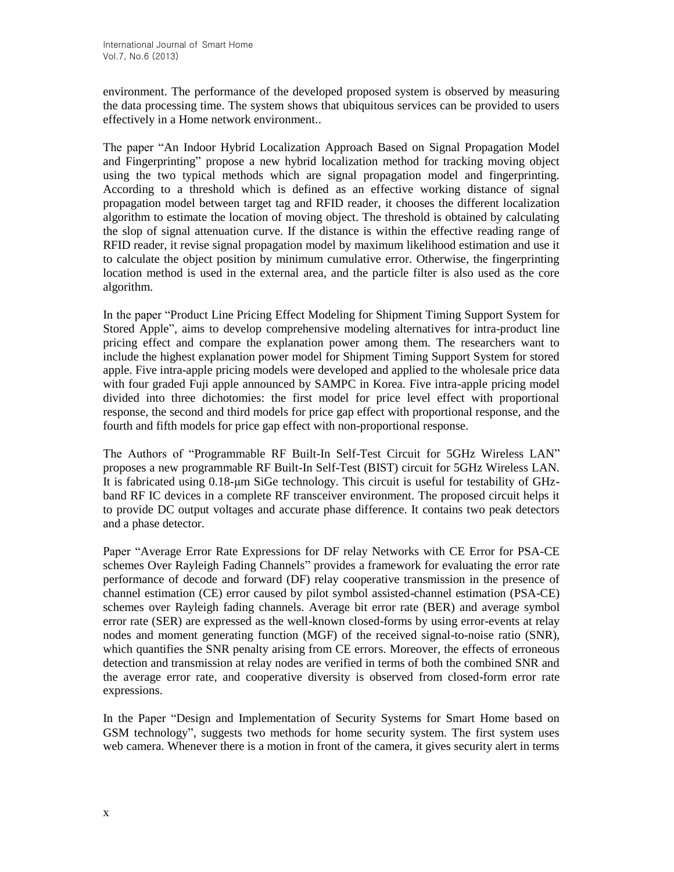environment. The performance of the developed proposed system is observed by measuring the data processing time. The system shows that ubiquitous services can be provided to users effectively in a Home network environment..

The paper "An Indoor Hybrid Localization Approach Based on Signal Propagation Model and Fingerprinting" propose a new hybrid localization method for tracking moving object using the two typical methods which are signal propagation model and fingerprinting. According to a threshold which is defined as an effective working distance of signal propagation model between target tag and RFID reader, it chooses the different localization algorithm to estimate the location of moving object. The threshold is obtained by calculating the slop of signal attenuation curve. If the distance is within the effective reading range of RFID reader, it revise signal propagation model by maximum likelihood estimation and use it to calculate the object position by minimum cumulative error. Otherwise, the fingerprinting location method is used in the external area, and the particle filter is also used as the core algorithm.

In the paper "Product Line Pricing Effect Modeling for Shipment Timing Support System for Stored Apple", aims to develop comprehensive modeling alternatives for intra-product line pricing effect and compare the explanation power among them. The researchers want to include the highest explanation power model for Shipment Timing Support System for stored apple. Five intra-apple pricing models were developed and applied to the wholesale price data with four graded Fuji apple announced by SAMPC in Korea. Five intra-apple pricing model divided into three dichotomies: the first model for price level effect with proportional response, the second and third models for price gap effect with proportional response, and the fourth and fifth models for price gap effect with non-proportional response.

The Authors of "Programmable RF Built-In Self-Test Circuit for 5GHz Wireless LAN" proposes a new programmable RF Built-In Self-Test (BIST) circuit for 5GHz Wireless LAN. It is fabricated using 0.18-μm SiGe technology. This circuit is useful for testability of GHzband RF IC devices in a complete RF transceiver environment. The proposed circuit helps it to provide DC output voltages and accurate phase difference. It contains two peak detectors and a phase detector.

Paper "Average Error Rate Expressions for DF relay Networks with CE Error for PSA-CE schemes Over Rayleigh Fading Channels" provides a framework for evaluating the error rate performance of decode and forward (DF) relay cooperative transmission in the presence of channel estimation (CE) error caused by pilot symbol assisted-channel estimation (PSA-CE) schemes over Rayleigh fading channels. Average bit error rate (BER) and average symbol error rate (SER) are expressed as the well-known closed-forms by using error-events at relay nodes and moment generating function (MGF) of the received signal-to-noise ratio (SNR), which quantifies the SNR penalty arising from CE errors. Moreover, the effects of erroneous detection and transmission at relay nodes are verified in terms of both the combined SNR and the average error rate, and cooperative diversity is observed from closed-form error rate expressions.

In the Paper "Design and Implementation of Security Systems for Smart Home based on GSM technology", suggests two methods for home security system. The first system uses web camera. Whenever there is a motion in front of the camera, it gives security alert in terms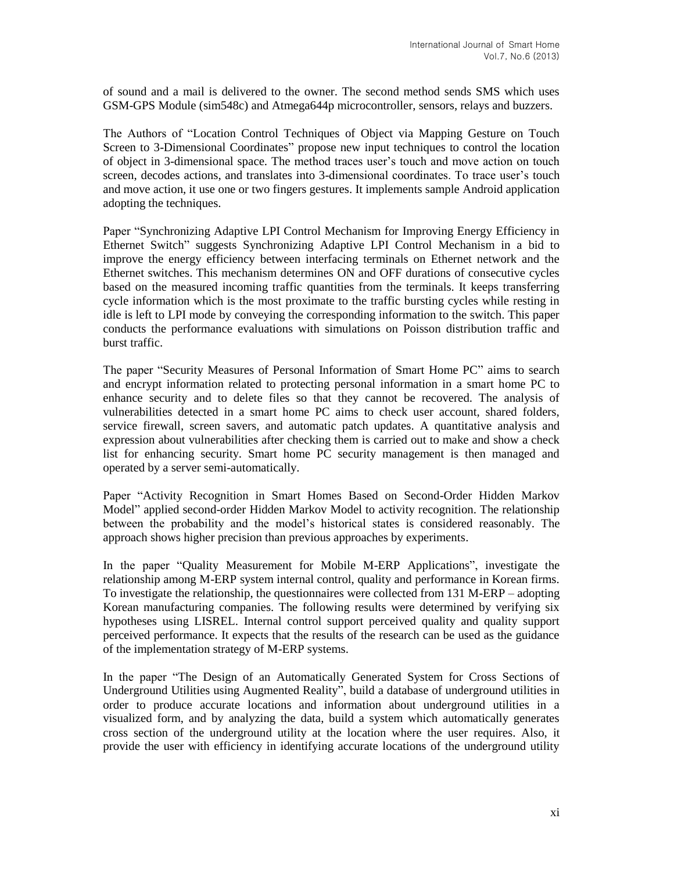of sound and a mail is delivered to the owner. The second method sends SMS which uses GSM-GPS Module (sim548c) and Atmega644p microcontroller, sensors, relays and buzzers.

The Authors of "Location Control Techniques of Object via Mapping Gesture on Touch Screen to 3-Dimensional Coordinates" propose new input techniques to control the location of object in 3-dimensional space. The method traces user's touch and move action on touch screen, decodes actions, and translates into 3-dimensional coordinates. To trace user's touch and move action, it use one or two fingers gestures. It implements sample Android application adopting the techniques.

Paper "Synchronizing Adaptive LPI Control Mechanism for Improving Energy Efficiency in Ethernet Switch" suggests Synchronizing Adaptive LPI Control Mechanism in a bid to improve the energy efficiency between interfacing terminals on Ethernet network and the Ethernet switches. This mechanism determines ON and OFF durations of consecutive cycles based on the measured incoming traffic quantities from the terminals. It keeps transferring cycle information which is the most proximate to the traffic bursting cycles while resting in idle is left to LPI mode by conveying the corresponding information to the switch. This paper conducts the performance evaluations with simulations on Poisson distribution traffic and burst traffic.

The paper "Security Measures of Personal Information of Smart Home PC" aims to search and encrypt information related to protecting personal information in a smart home PC to enhance security and to delete files so that they cannot be recovered. The analysis of vulnerabilities detected in a smart home PC aims to check user account, shared folders, service firewall, screen savers, and automatic patch updates. A quantitative analysis and expression about vulnerabilities after checking them is carried out to make and show a check list for enhancing security. Smart home PC security management is then managed and operated by a server semi-automatically.

Paper "Activity Recognition in Smart Homes Based on Second-Order Hidden Markov Model" applied second-order Hidden Markov Model to activity recognition. The relationship between the probability and the model's historical states is considered reasonably. The approach shows higher precision than previous approaches by experiments.

In the paper "Quality Measurement for Mobile M-ERP Applications", investigate the relationship among M-ERP system internal control, quality and performance in Korean firms. To investigate the relationship, the questionnaires were collected from 131 M-ERP – adopting Korean manufacturing companies. The following results were determined by verifying six hypotheses using LISREL. Internal control support perceived quality and quality support perceived performance. It expects that the results of the research can be used as the guidance of the implementation strategy of M-ERP systems.

In the paper "The Design of an Automatically Generated System for Cross Sections of Underground Utilities using Augmented Reality", build a database of underground utilities in order to produce accurate locations and information about underground utilities in a visualized form, and by analyzing the data, build a system which automatically generates cross section of the underground utility at the location where the user requires. Also, it provide the user with efficiency in identifying accurate locations of the underground utility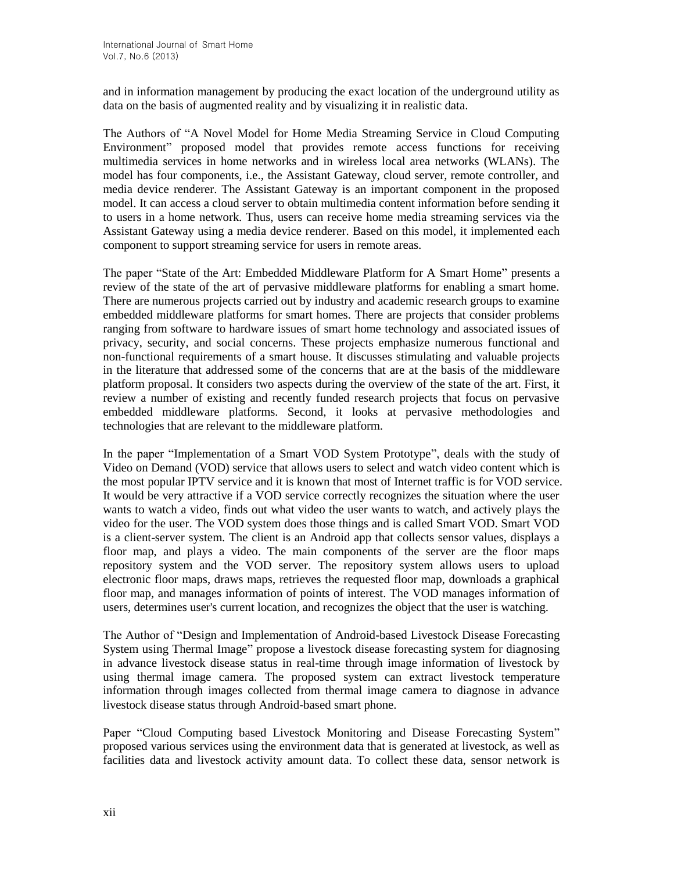and in information management by producing the exact location of the underground utility as data on the basis of augmented reality and by visualizing it in realistic data.

The Authors of "A Novel Model for Home Media Streaming Service in Cloud Computing Environment" proposed model that provides remote access functions for receiving multimedia services in home networks and in wireless local area networks (WLANs). The model has four components, i.e., the Assistant Gateway, cloud server, remote controller, and media device renderer. The Assistant Gateway is an important component in the proposed model. It can access a cloud server to obtain multimedia content information before sending it to users in a home network. Thus, users can receive home media streaming services via the Assistant Gateway using a media device renderer. Based on this model, it implemented each component to support streaming service for users in remote areas.

The paper "State of the Art: Embedded Middleware Platform for A Smart Home" presents a review of the state of the art of pervasive middleware platforms for enabling a smart home. There are numerous projects carried out by industry and academic research groups to examine embedded middleware platforms for smart homes. There are projects that consider problems ranging from software to hardware issues of smart home technology and associated issues of privacy, security, and social concerns. These projects emphasize numerous functional and non-functional requirements of a smart house. It discusses stimulating and valuable projects in the literature that addressed some of the concerns that are at the basis of the middleware platform proposal. It considers two aspects during the overview of the state of the art. First, it review a number of existing and recently funded research projects that focus on pervasive embedded middleware platforms. Second, it looks at pervasive methodologies and technologies that are relevant to the middleware platform.

In the paper "Implementation of a Smart VOD System Prototype", deals with the study of Video on Demand (VOD) service that allows users to select and watch video content which is the most popular IPTV service and it is known that most of Internet traffic is for VOD service. It would be very attractive if a VOD service correctly recognizes the situation where the user wants to watch a video, finds out what video the user wants to watch, and actively plays the video for the user. The VOD system does those things and is called Smart VOD. Smart VOD is a client-server system. The client is an Android app that collects sensor values, displays a floor map, and plays a video. The main components of the server are the floor maps repository system and the VOD server. The repository system allows users to upload electronic floor maps, draws maps, retrieves the requested floor map, downloads a graphical floor map, and manages information of points of interest. The VOD manages information of users, determines user's current location, and recognizes the object that the user is watching.

The Author of "Design and Implementation of Android-based Livestock Disease Forecasting System using Thermal Image" propose a livestock disease forecasting system for diagnosing in advance livestock disease status in real-time through image information of livestock by using thermal image camera. The proposed system can extract livestock temperature information through images collected from thermal image camera to diagnose in advance livestock disease status through Android-based smart phone.

Paper "Cloud Computing based Livestock Monitoring and Disease Forecasting System" proposed various services using the environment data that is generated at livestock, as well as facilities data and livestock activity amount data. To collect these data, sensor network is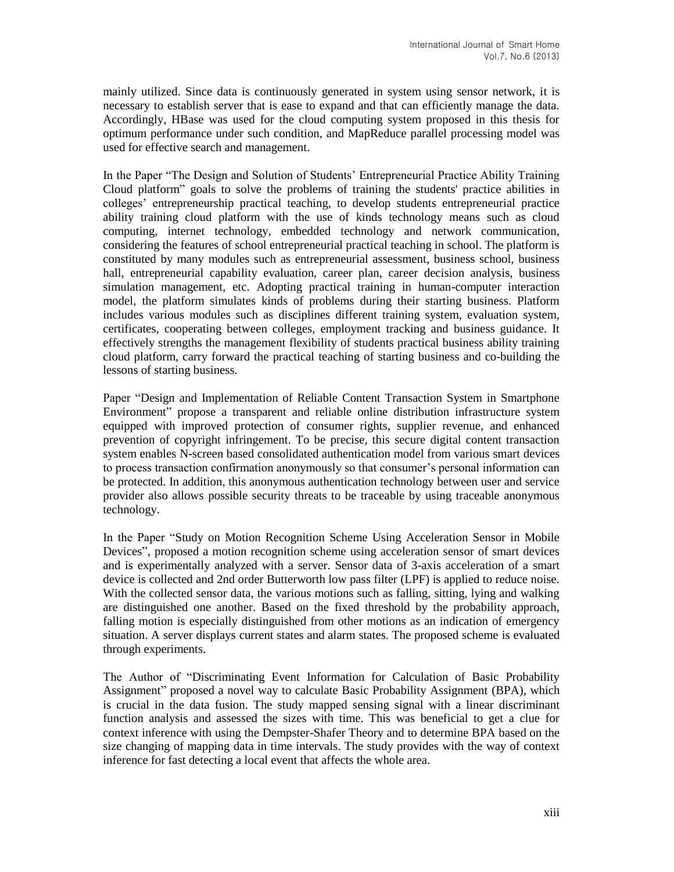mainly utilized. Since data is continuously generated in system using sensor network, it is necessary to establish server that is ease to expand and that can efficiently manage the data. Accordingly, HBase was used for the cloud computing system proposed in this thesis for optimum performance under such condition, and MapReduce parallel processing model was used for effective search and management.

In the Paper "The Design and Solution of Students' Entrepreneurial Practice Ability Training Cloud platform" goals to solve the problems of training the students' practice abilities in colleges' entrepreneurship practical teaching, to develop students entrepreneurial practice ability training cloud platform with the use of kinds technology means such as cloud computing, internet technology, embedded technology and network communication, considering the features of school entrepreneurial practical teaching in school. The platform is constituted by many modules such as entrepreneurial assessment, business school, business hall, entrepreneurial capability evaluation, career plan, career decision analysis, business simulation management, etc. Adopting practical training in human-computer interaction model, the platform simulates kinds of problems during their starting business. Platform includes various modules such as disciplines different training system, evaluation system, certificates, cooperating between colleges, employment tracking and business guidance. It effectively strengths the management flexibility of students practical business ability training cloud platform, carry forward the practical teaching of starting business and co-building the lessons of starting business.

Paper "Design and Implementation of Reliable Content Transaction System in Smartphone Environment" propose a transparent and reliable online distribution infrastructure system equipped with improved protection of consumer rights, supplier revenue, and enhanced prevention of copyright infringement. To be precise, this secure digital content transaction system enables N-screen based consolidated authentication model from various smart devices to process transaction confirmation anonymously so that consumer's personal information can be protected. In addition, this anonymous authentication technology between user and service provider also allows possible security threats to be traceable by using traceable anonymous technology.

In the Paper "Study on Motion Recognition Scheme Using Acceleration Sensor in Mobile Devices", proposed a motion recognition scheme using acceleration sensor of smart devices and is experimentally analyzed with a server. Sensor data of 3-axis acceleration of a smart device is collected and 2nd order Butterworth low pass filter (LPF) is applied to reduce noise. With the collected sensor data, the various motions such as falling, sitting, lying and walking are distinguished one another. Based on the fixed threshold by the probability approach, falling motion is especially distinguished from other motions as an indication of emergency situation. A server displays current states and alarm states. The proposed scheme is evaluated through experiments.

The Author of "Discriminating Event Information for Calculation of Basic Probability Assignment" proposed a novel way to calculate Basic Probability Assignment (BPA), which is crucial in the data fusion. The study mapped sensing signal with a linear discriminant function analysis and assessed the sizes with time. This was beneficial to get a clue for context inference with using the Dempster-Shafer Theory and to determine BPA based on the size changing of mapping data in time intervals. The study provides with the way of context inference for fast detecting a local event that affects the whole area.